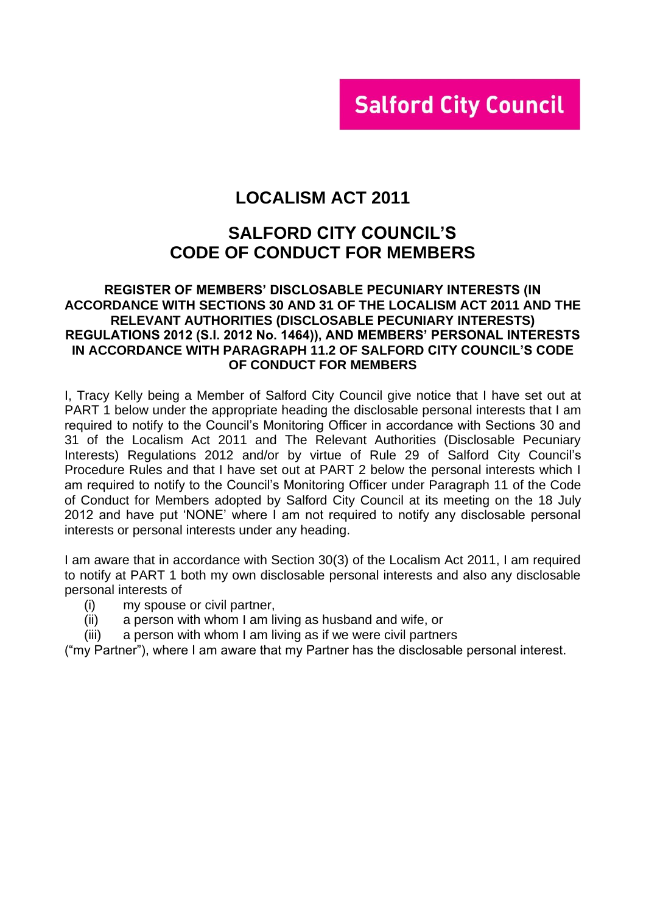# **Salford City Council**

# **LOCALISM ACT 2011**

# **SALFORD CITY COUNCIL'S CODE OF CONDUCT FOR MEMBERS**

### **REGISTER OF MEMBERS' DISCLOSABLE PECUNIARY INTERESTS (IN ACCORDANCE WITH SECTIONS 30 AND 31 OF THE LOCALISM ACT 2011 AND THE RELEVANT AUTHORITIES (DISCLOSABLE PECUNIARY INTERESTS) REGULATIONS 2012 (S.I. 2012 No. 1464)), AND MEMBERS' PERSONAL INTERESTS IN ACCORDANCE WITH PARAGRAPH 11.2 OF SALFORD CITY COUNCIL'S CODE OF CONDUCT FOR MEMBERS**

I, Tracy Kelly being a Member of Salford City Council give notice that I have set out at PART 1 below under the appropriate heading the disclosable personal interests that I am required to notify to the Council's Monitoring Officer in accordance with Sections 30 and 31 of the Localism Act 2011 and The Relevant Authorities (Disclosable Pecuniary Interests) Regulations 2012 and/or by virtue of Rule 29 of Salford City Council's Procedure Rules and that I have set out at PART 2 below the personal interests which I am required to notify to the Council's Monitoring Officer under Paragraph 11 of the Code of Conduct for Members adopted by Salford City Council at its meeting on the 18 July 2012 and have put 'NONE' where I am not required to notify any disclosable personal interests or personal interests under any heading.

I am aware that in accordance with Section 30(3) of the Localism Act 2011, I am required to notify at PART 1 both my own disclosable personal interests and also any disclosable personal interests of

- (i) my spouse or civil partner,
- (ii) a person with whom I am living as husband and wife, or
- (iii) a person with whom I am living as if we were civil partners

("my Partner"), where I am aware that my Partner has the disclosable personal interest.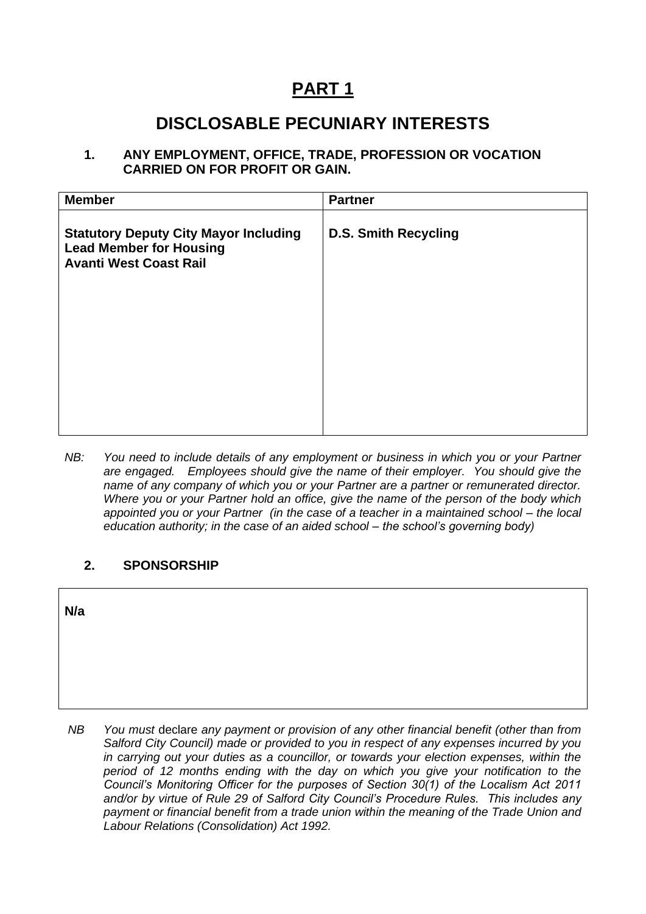# **PART 1**

# **DISCLOSABLE PECUNIARY INTERESTS**

**1. ANY EMPLOYMENT, OFFICE, TRADE, PROFESSION OR VOCATION CARRIED ON FOR PROFIT OR GAIN.**

| <b>Member</b>                                                                                                   | <b>Partner</b>              |
|-----------------------------------------------------------------------------------------------------------------|-----------------------------|
| <b>Statutory Deputy City Mayor Including</b><br><b>Lead Member for Housing</b><br><b>Avanti West Coast Rail</b> | <b>D.S. Smith Recycling</b> |
|                                                                                                                 |                             |
|                                                                                                                 |                             |
|                                                                                                                 |                             |

*NB: You need to include details of any employment or business in which you or your Partner are engaged. Employees should give the name of their employer. You should give the name of any company of which you or your Partner are a partner or remunerated director. Where you or your Partner hold an office, give the name of the person of the body which appointed you or your Partner (in the case of a teacher in a maintained school – the local education authority; in the case of an aided school – the school's governing body)*

## **2. SPONSORSHIP**

**N/a** 

*NB You must* declare *any payment or provision of any other financial benefit (other than from Salford City Council) made or provided to you in respect of any expenses incurred by you in carrying out your duties as a councillor, or towards your election expenses, within the period of 12 months ending with the day on which you give your notification to the Council's Monitoring Officer for the purposes of Section 30(1) of the Localism Act 2011 and/or by virtue of Rule 29 of Salford City Council's Procedure Rules. This includes any payment or financial benefit from a trade union within the meaning of the Trade Union and Labour Relations (Consolidation) Act 1992.*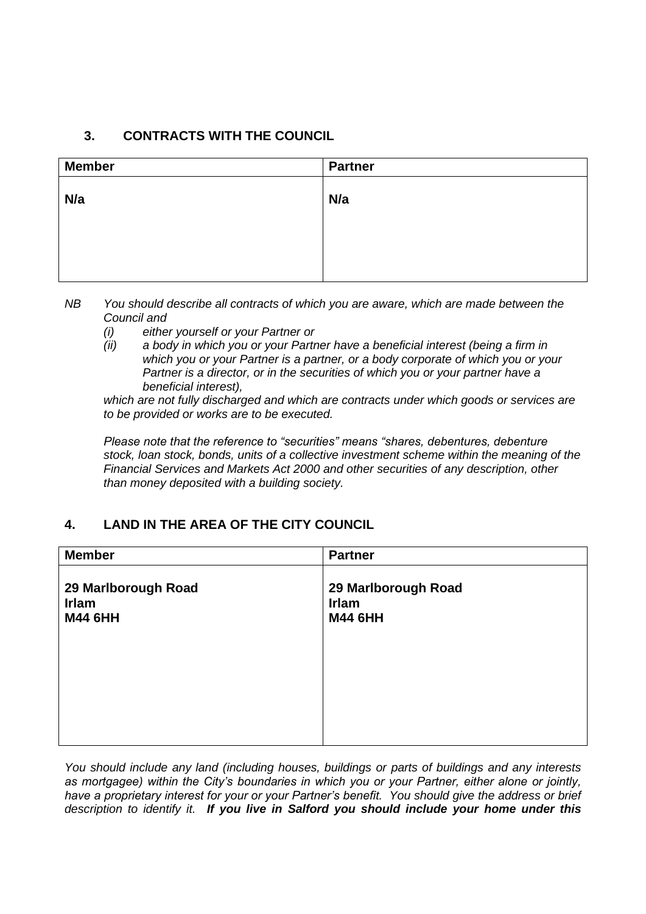## **3. CONTRACTS WITH THE COUNCIL**

| <b>Member</b> | <b>Partner</b> |
|---------------|----------------|
| N/a           | N/a            |
|               |                |
|               |                |

*NB You should describe all contracts of which you are aware, which are made between the Council and* 

- *(i) either yourself or your Partner or*
- *(ii) a body in which you or your Partner have a beneficial interest (being a firm in which you or your Partner is a partner, or a body corporate of which you or your Partner is a director, or in the securities of which you or your partner have a beneficial interest),*

*which are not fully discharged and which are contracts under which goods or services are to be provided or works are to be executed.*

*Please note that the reference to "securities" means "shares, debentures, debenture stock, loan stock, bonds, units of a collective investment scheme within the meaning of the Financial Services and Markets Act 2000 and other securities of any description, other than money deposited with a building society.*

## **4. LAND IN THE AREA OF THE CITY COUNCIL**

| 29 Marlborough Road |
|---------------------|
|                     |

*You should include any land (including houses, buildings or parts of buildings and any interests as mortgagee) within the City's boundaries in which you or your Partner, either alone or jointly, have a proprietary interest for your or your Partner's benefit. You should give the address or brief description to identify it. If you live in Salford you should include your home under this*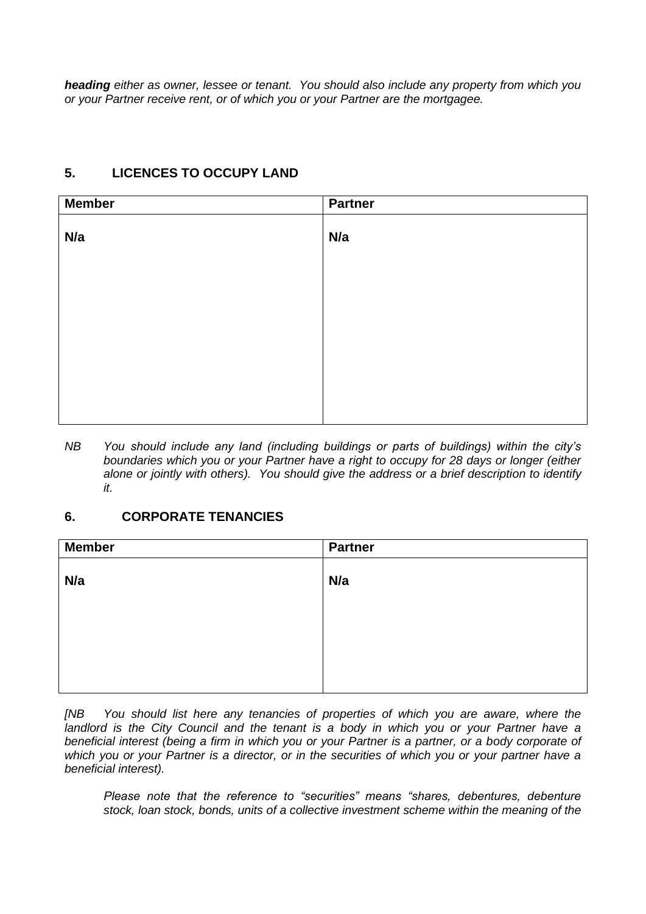*heading either as owner, lessee or tenant. You should also include any property from which you or your Partner receive rent, or of which you or your Partner are the mortgagee.*

# **Member Partner N/a N/a**

## **5. LICENCES TO OCCUPY LAND**

*NB You should include any land (including buildings or parts of buildings) within the city's boundaries which you or your Partner have a right to occupy for 28 days or longer (either alone or jointly with others). You should give the address or a brief description to identify it.*

## **6. CORPORATE TENANCIES**

| <b>Member</b> | <b>Partner</b> |
|---------------|----------------|
| N/a           | N/a            |
|               |                |
|               |                |
|               |                |
|               |                |

*[NB You should list here any tenancies of properties of which you are aware, where the*  landlord is the City Council and the tenant is a body in which you or your Partner have a *beneficial interest (being a firm in which you or your Partner is a partner, or a body corporate of which you or your Partner is a director, or in the securities of which you or your partner have a beneficial interest).* 

*Please note that the reference to "securities" means "shares, debentures, debenture stock, loan stock, bonds, units of a collective investment scheme within the meaning of the*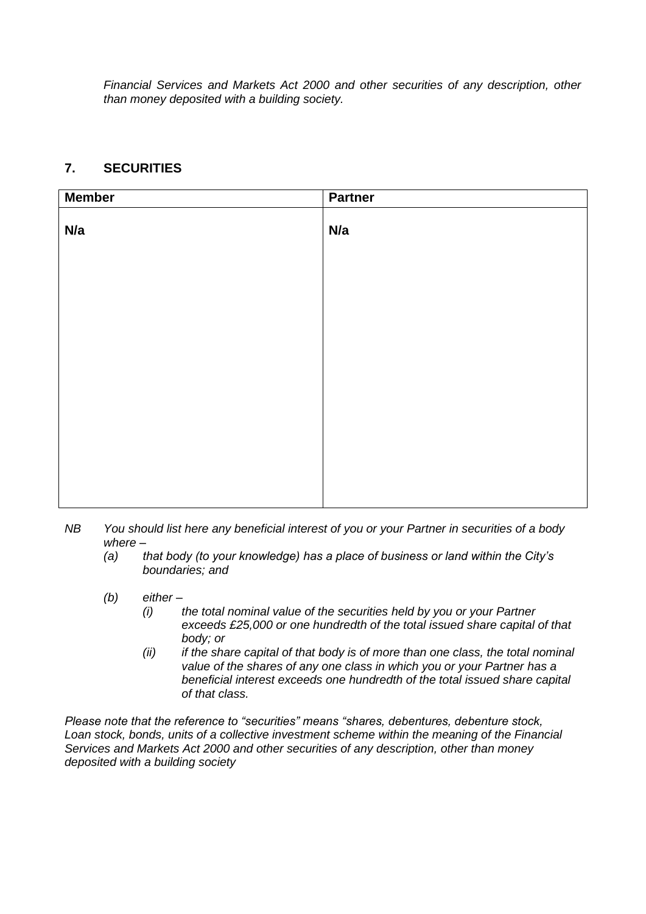*Financial Services and Markets Act 2000 and other securities of any description, other than money deposited with a building society.*

## **7. SECURITIES**

| <b>Member</b> | <b>Partner</b> |
|---------------|----------------|
| N/a           | N/a            |
|               |                |
|               |                |
|               |                |
|               |                |
|               |                |
|               |                |

- *NB You should list here any beneficial interest of you or your Partner in securities of a body where –*
	- *(a) that body (to your knowledge) has a place of business or land within the City's boundaries; and*
	- *(b) either –*
		- *(i) the total nominal value of the securities held by you or your Partner exceeds £25,000 or one hundredth of the total issued share capital of that body; or*
		- *(ii) if the share capital of that body is of more than one class, the total nominal value of the shares of any one class in which you or your Partner has a beneficial interest exceeds one hundredth of the total issued share capital of that class.*

*Please note that the reference to "securities" means "shares, debentures, debenture stock, Loan stock, bonds, units of a collective investment scheme within the meaning of the Financial Services and Markets Act 2000 and other securities of any description, other than money deposited with a building society*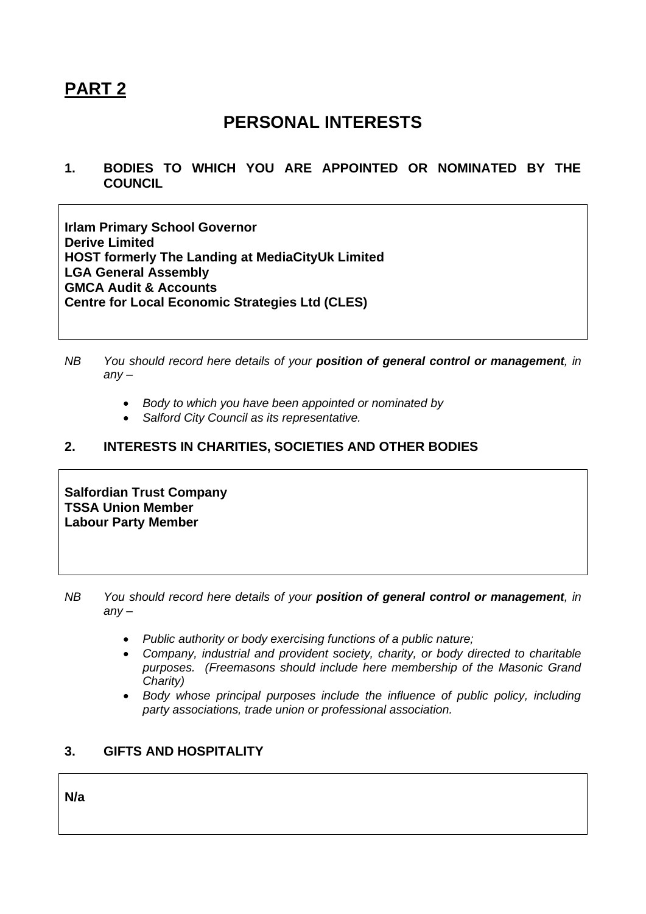# **PART 2**

# **PERSONAL INTERESTS**

**1. BODIES TO WHICH YOU ARE APPOINTED OR NOMINATED BY THE COUNCIL**

**Irlam Primary School Governor Derive Limited HOST formerly The Landing at MediaCityUk Limited LGA General Assembly GMCA Audit & Accounts Centre for Local Economic Strategies Ltd (CLES)**

- *NB You should record here details of your position of general control or management, in any –*
	- *Body to which you have been appointed or nominated by*
	- *Salford City Council as its representative.*

## **2. INTERESTS IN CHARITIES, SOCIETIES AND OTHER BODIES**

**Salfordian Trust Company TSSA Union Member Labour Party Member** 

- *NB You should record here details of your position of general control or management, in any –*
	- *Public authority or body exercising functions of a public nature;*
	- *Company, industrial and provident society, charity, or body directed to charitable purposes. (Freemasons should include here membership of the Masonic Grand Charity)*
	- *Body whose principal purposes include the influence of public policy, including party associations, trade union or professional association.*

## **3. GIFTS AND HOSPITALITY**

**N/a**